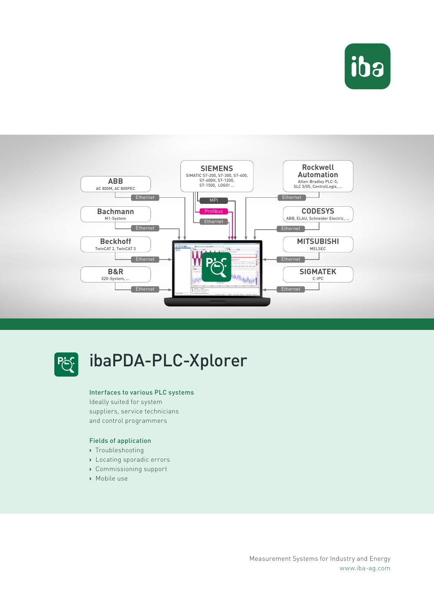





## ibaPDA-PLC-Xplorer

#### Interfaces to various PLC systems

Ideally suited for system suppliers, service technicians and control programmers

#### Fields of application

- **›** Troubleshooting
- **›** Locating sporadic errors
- **›** Commissioning support
- **›** Mobile use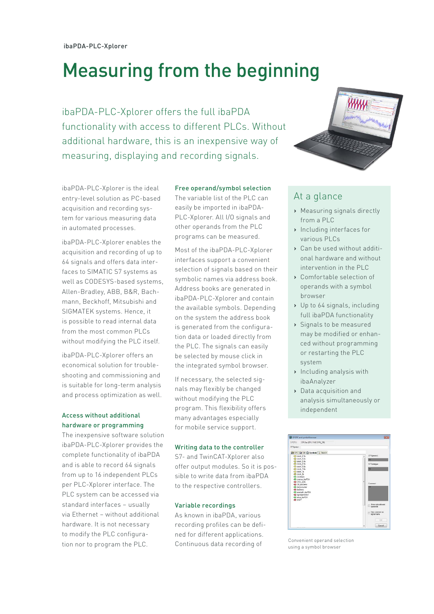# Measuring from the beginning

ibaPDA-PLC-Xplorer offers the full ibaPDA functionality with access to different PLCs. Without additional hardware, this is an inexpensive way of measuring, displaying and recording signals.

ibaPDA-PLC-Xplorer is the ideal entry-level solution as PC-based acquisition and recording system for various measuring data in automated processes.

ibaPDA-PLC-Xplorer enables the acquisition and recording of up to 64 signals and offers data interfaces to SIMATIC S7 systems as well as CODESYS-based systems, Allen-Bradley, ABB, B&R, Bachmann, Beckhoff, Mitsubishi and SIGMATEK systems. Hence, it is possible to read internal data from the most common PLCs without modifying the PLC itself.

ibaPDA-PLC-Xplorer offers an economical solution for troubleshooting and commissioning and is suitable for long-term analysis and process optimization as well.

## Access without additional hardware or programming

The inexpensive software solution ibaPDA-PLC-Xplorer provides the complete functionality of ibaPDA and is able to record 64 signals from up to 16 independent PLCs per PLC-Xplorer interface. The PLC system can be accessed via standard interfaces – usually via Ethernet – without additional hardware. It is not necessary to modify the PLC configuration nor to program the PLC.

#### Free operand/symbol selection

The variable list of the PLC can easily be imported in ibaPDA-PLC-Xplorer. All I/O signals and other operands from the PLC programs can be measured.

Most of the ibaPDA-PLC-Xplorer interfaces support a convenient selection of signals based on their symbolic names via address book. Address books are generated in ibaPDA-PLC-Xplorer and contain the available symbols. Depending on the system the address book is generated from the configuration data or loaded directly from the PLC. The signals can easily be selected by mouse click in the integrated symbol browser.

If necessary, the selected signals may flexibly be changed without modifying the PLC program. This flexibility offers many advantages especially for mobile service support.

#### Writing data to the controller

S7- and TwinCAT-Xplorer also offer output modules. So it is possible to write data from ibaPDA to the respective controllers.

#### Variable recordings

As known in ibaPDA, various recording profiles can be defined for different applications. Continuous data recording of



## At a glance

- **›** Measuring signals directly from a PLC
- **›** Including interfaces for various PLCs
- **›** Can be used without additional hardware and without intervention in the PLC
- **›** Comfortable selection of operands with a symbol browser
- **›** Up to 64 signals, including full ibaPDA functionality
- **›** Signals to be measured may be modified or enhanced without programming or restarting the PLC system
- **›** Including analysis with ibaAnalyzer
- **›** Data acquisition and analysis simultaneously or independent



Convenient operand selection using a symbol browser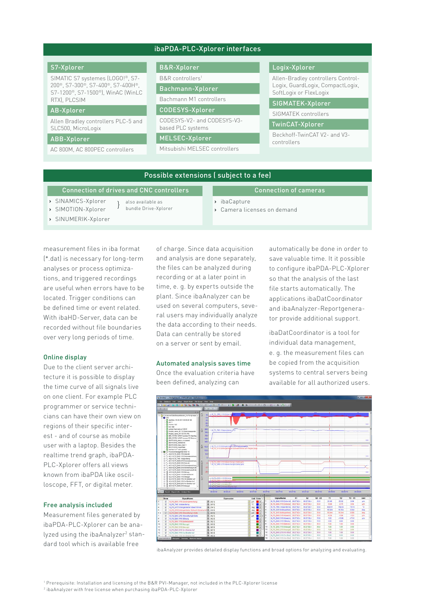#### ibaPDA-PLC-Xplorer interfaces

#### S7-Xplorer

SIMATIC S7 systemes (LOGO!®, S7- 200®, S7-300®, S7-400®, S7-400H®, S7-1200®, S7-1500®), WinAC (WinLC RTX), PLCSIM

#### AB-Xplorer

Allen Bradley controllers PLC-5 and SLC500, MicroLogix

#### ABB-Xplorer

AC 800M, AC 800PEC controllers

#### B&R-Xplorer

B&R controllers1

Bachmann-Xplorer

Bachmann M1 controllers CODESYS-Xplorer

CODESYS-V2- and CODESYS-V3-

based PLC systems

MELSEC-Xplorer

Mitsubishi MELSEC controllers

#### Logix-Xplorer

Allen-Bradley controllers Control-Logix, GuardLogix, CompactLogix, SoftLogix or FlexLogix

SIGMATEK-Xplorer

SIGMATEK controllers

#### TwinCAT-Xplorer

Beckhoff-TwinCAT V2- and V3 controllers

#### Possible extensions ( subject to a fee)

| Connection of drives and CNC controllers |                                           | Connection of cameras                                   |
|------------------------------------------|-------------------------------------------|---------------------------------------------------------|
| > SINAMICS-Xplorer<br>> SIMOTION-Xplorer | also available as<br>bundle Drive-Xplorer | > ibaCapture<br>$\rightarrow$ Camera licenses on demand |
| > SINUMERIK-Xplorer                      |                                           |                                                         |

measurement files in iba format (\*.dat) is necessary for long-term analyses or process optimizations, and triggered recordings are useful when errors have to be located. Trigger conditions can be defined time or event related. With ibaHD-Server, data can be recorded without file boundaries over very long periods of time.

#### Online display

Due to the client server architecture it is possible to display the time curve of all signals live on one client. For example PLC programmer or service technicians can have their own view on regions of their specific interest - and of course as mobile user with a laptop. Besides the realtime trend graph, ibaPDA-PLC-Xplorer offers all views known from ibaPDA like oscilloscope, FFT, or digital meter.

#### Free analysis included

Measurement files generated by ibaPDA-PLC-Xplorer can be analyzed using the ibaAnalyzer<sup>2</sup> standard tool which is available free

of charge. Since data acquisition and analysis are done separately, the files can be analyzed during recording or at a later point in time, e. g. by experts outside the plant. Since ibaAnalyzer can be used on several computers, several users may individually analyze the data according to their needs. Data can centrally be stored on a server or sent by email.

#### Automated analysis saves time

Once the evaluation criteria have been defined, analyzing can

automatically be done in order to save valuable time. It it possible to configure ibaPDA-PLC-Xplorer so that the analysis of the last file starts automatically. The applications ibaDatCoordinator and ibaAnalyzer-Reportgenerator provide additional support.

ibaDatCoordinator is a tool for individual data management, e. g. the measurement files can be copied from the acquisition systems to central servers being available for all authorized users.



ibaAnalyzer provides detailed display functions and broad options for analyzing and evaluating.

1 Prerequisite: Installation and licensing of the B&R PVI-Manager, not included in the PLC-Xplorer license

2 ibaAnalyzer with free license when purchasing ibaPDA-PLC-Xplorer